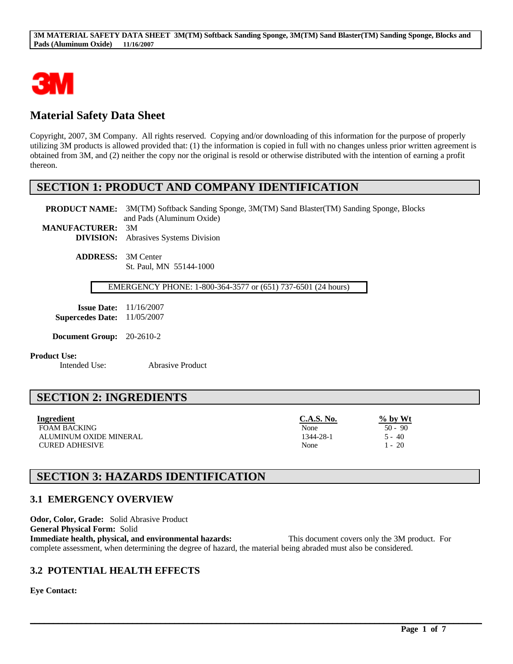

# **Material Safety Data Sheet**

Copyright, 2007, 3M Company. All rights reserved. Copying and/or downloading of this information for the purpose of properly utilizing 3M products is allowed provided that: (1) the information is copied in full with no changes unless prior written agreement is obtained from 3M, and (2) neither the copy nor the original is resold or otherwise distributed with the intention of earning a profit thereon.

## **SECTION 1: PRODUCT AND COMPANY IDENTIFICATION**

**PRODUCT NAME:** 3M(TM) Softback Sanding Sponge, 3M(TM) Sand Blaster(TM) Sanding Sponge, Blocks and Pads (Aluminum Oxide) **MANUFACTURER:** 3M

**DIVISION:** Abrasives Systems Division

**ADDRESS:** 3M Center St. Paul, MN 55144-1000

EMERGENCY PHONE: 1-800-364-3577 or (651) 737-6501 (24 hours)

| <b>Issue Date:</b>      | 11/16/2007 |
|-------------------------|------------|
| <b>Supercedes Date:</b> | 11/05/2007 |

**Document Group:** 20-2610-2

#### **Product Use:**

Intended Use: Abrasive Product

# **SECTION 2: INGREDIENTS**

| Ingredient             | C.A.S. No. | $\%$ by Wt |
|------------------------|------------|------------|
| <b>FOAM BACKING</b>    | None       | $50 - 90$  |
| ALUMINUM OXIDE MINERAL | 1344-28-1  | 5 - 40     |
| <b>CURED ADHESIVE</b>  | None       | l - 20     |

# **SECTION 3: HAZARDS IDENTIFICATION**

## **3.1 EMERGENCY OVERVIEW**

**Odor, Color, Grade:** Solid Abrasive Product **General Physical Form:** Solid **Immediate health, physical, and environmental hazards:** This document covers only the 3M product. For complete assessment, when determining the degree of hazard, the material being abraded must also be considered.

 $\mathcal{L}_\mathcal{L} = \mathcal{L}_\mathcal{L} = \mathcal{L}_\mathcal{L} = \mathcal{L}_\mathcal{L} = \mathcal{L}_\mathcal{L} = \mathcal{L}_\mathcal{L} = \mathcal{L}_\mathcal{L} = \mathcal{L}_\mathcal{L} = \mathcal{L}_\mathcal{L} = \mathcal{L}_\mathcal{L} = \mathcal{L}_\mathcal{L} = \mathcal{L}_\mathcal{L} = \mathcal{L}_\mathcal{L} = \mathcal{L}_\mathcal{L} = \mathcal{L}_\mathcal{L} = \mathcal{L}_\mathcal{L} = \mathcal{L}_\mathcal{L}$ 

## **3.2 POTENTIAL HEALTH EFFECTS**

**Eye Contact:**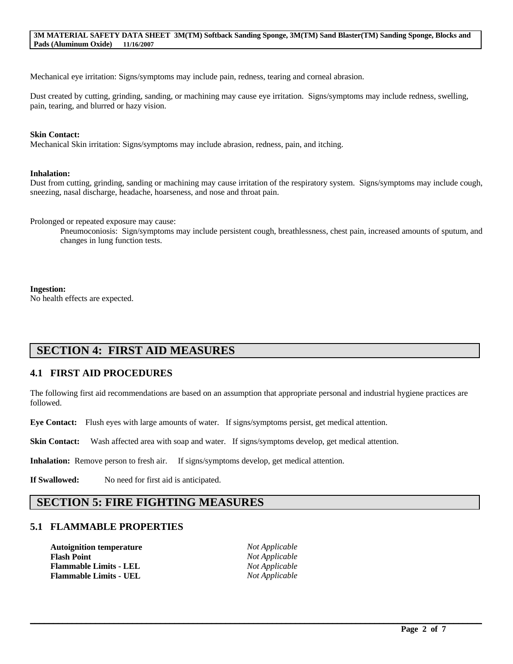Mechanical eye irritation: Signs/symptoms may include pain, redness, tearing and corneal abrasion.

Dust created by cutting, grinding, sanding, or machining may cause eye irritation. Signs/symptoms may include redness, swelling, pain, tearing, and blurred or hazy vision.

#### **Skin Contact:**

Mechanical Skin irritation: Signs/symptoms may include abrasion, redness, pain, and itching.

#### **Inhalation:**

Dust from cutting, grinding, sanding or machining may cause irritation of the respiratory system. Signs/symptoms may include cough, sneezing, nasal discharge, headache, hoarseness, and nose and throat pain.

Prolonged or repeated exposure may cause:

Pneumoconiosis: Sign/symptoms may include persistent cough, breathlessness, chest pain, increased amounts of sputum, and changes in lung function tests.

#### **Ingestion:**

No health effects are expected.

# **SECTION 4: FIRST AID MEASURES**

## **4.1 FIRST AID PROCEDURES**

The following first aid recommendations are based on an assumption that appropriate personal and industrial hygiene practices are followed.

**Eye Contact:** Flush eyes with large amounts of water. If signs/symptoms persist, get medical attention.

**Skin Contact:** Wash affected area with soap and water. If signs/symptoms develop, get medical attention.

**Inhalation:** Remove person to fresh air. If signs/symptoms develop, get medical attention.

**If Swallowed:** No need for first aid is anticipated.

## **SECTION 5: FIRE FIGHTING MEASURES**

### **5.1 FLAMMABLE PROPERTIES**

**Autoignition temperature** *Not Applicable* **Flash Point** *Not Applicable* **Flammable Limits - LEL** *Not Applicable* **Flammable Limits - UEL** *Not Applicable*

 $\mathcal{L}_\mathcal{L} = \mathcal{L}_\mathcal{L} = \mathcal{L}_\mathcal{L} = \mathcal{L}_\mathcal{L} = \mathcal{L}_\mathcal{L} = \mathcal{L}_\mathcal{L} = \mathcal{L}_\mathcal{L} = \mathcal{L}_\mathcal{L} = \mathcal{L}_\mathcal{L} = \mathcal{L}_\mathcal{L} = \mathcal{L}_\mathcal{L} = \mathcal{L}_\mathcal{L} = \mathcal{L}_\mathcal{L} = \mathcal{L}_\mathcal{L} = \mathcal{L}_\mathcal{L} = \mathcal{L}_\mathcal{L} = \mathcal{L}_\mathcal{L}$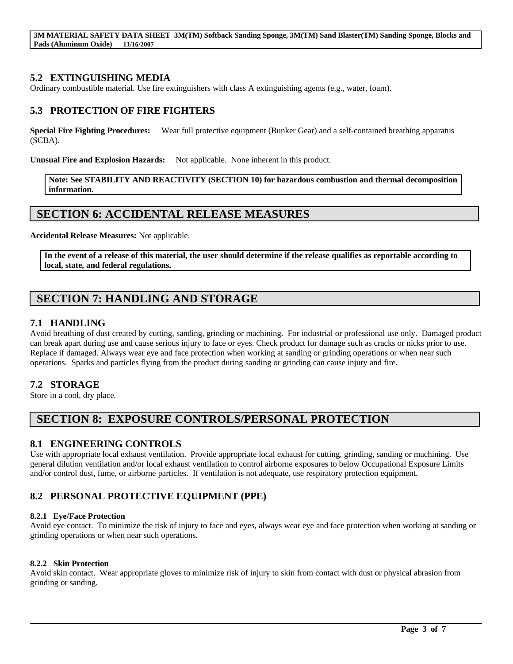**3M MATERIAL SAFETY DATA SHEET 3M(TM) Softback Sanding Sponge, 3M(TM) Sand Blaster(TM) Sanding Sponge, Blocks and Pads (Aluminum Oxide) 11/16/2007**

### **5.2 EXTINGUISHING MEDIA**

Ordinary combustible material. Use fire extinguishers with class A extinguishing agents (e.g., water, foam).

### **5.3 PROTECTION OF FIRE FIGHTERS**

**Special Fire Fighting Procedures:** Wear full protective equipment (Bunker Gear) and a self-contained breathing apparatus (SCBA).

**Unusual Fire and Explosion Hazards:** Not applicable. None inherent in this product.

**Note: See STABILITY AND REACTIVITY (SECTION 10) for hazardous combustion and thermal decomposition information.**

## **SECTION 6: ACCIDENTAL RELEASE MEASURES**

**Accidental Release Measures:** Not applicable.

**In the event of a release of this material, the user should determine if the release qualifies as reportable according to local, state, and federal regulations.**

# **SECTION 7: HANDLING AND STORAGE**

### **7.1 HANDLING**

Avoid breathing of dust created by cutting, sanding, grinding or machining. For industrial or professional use only. Damaged product can break apart during use and cause serious injury to face or eyes. Check product for damage such as cracks or nicks prior to use. Replace if damaged. Always wear eye and face protection when working at sanding or grinding operations or when near such operations. Sparks and particles flying from the product during sanding or grinding can cause injury and fire.

### **7.2 STORAGE**

Store in a cool, dry place.

# **SECTION 8: EXPOSURE CONTROLS/PERSONAL PROTECTION**

### **8.1 ENGINEERING CONTROLS**

Use with appropriate local exhaust ventilation. Provide appropriate local exhaust for cutting, grinding, sanding or machining. Use general dilution ventilation and/or local exhaust ventilation to control airborne exposures to below Occupational Exposure Limits and/or control dust, fume, or airborne particles. If ventilation is not adequate, use respiratory protection equipment.

## **8.2 PERSONAL PROTECTIVE EQUIPMENT (PPE)**

#### **8.2.1 Eye/Face Protection**

Avoid eye contact. To minimize the risk of injury to face and eyes, always wear eye and face protection when working at sanding or grinding operations or when near such operations.

#### **8.2.2 Skin Protection**

Avoid skin contact. Wear appropriate gloves to minimize risk of injury to skin from contact with dust or physical abrasion from grinding or sanding.

 $\mathcal{L}_\mathcal{L} = \mathcal{L}_\mathcal{L} = \mathcal{L}_\mathcal{L} = \mathcal{L}_\mathcal{L} = \mathcal{L}_\mathcal{L} = \mathcal{L}_\mathcal{L} = \mathcal{L}_\mathcal{L} = \mathcal{L}_\mathcal{L} = \mathcal{L}_\mathcal{L} = \mathcal{L}_\mathcal{L} = \mathcal{L}_\mathcal{L} = \mathcal{L}_\mathcal{L} = \mathcal{L}_\mathcal{L} = \mathcal{L}_\mathcal{L} = \mathcal{L}_\mathcal{L} = \mathcal{L}_\mathcal{L} = \mathcal{L}_\mathcal{L}$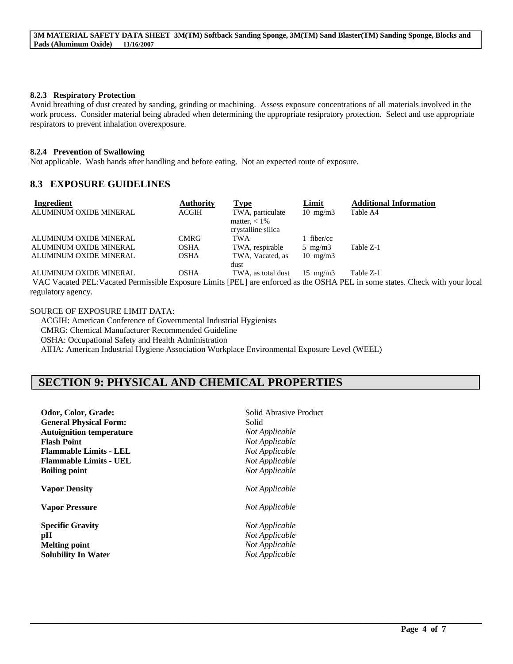#### **8.2.3 Respiratory Protection**

Avoid breathing of dust created by sanding, grinding or machining. Assess exposure concentrations of all materials involved in the work process. Consider material being abraded when determining the appropriate resipratory protection. Select and use appropriate respirators to prevent inhalation overexposure.

#### **8.2.4 Prevention of Swallowing**

Not applicable. Wash hands after handling and before eating. Not an expected route of exposure.

### **8.3 EXPOSURE GUIDELINES**

| Ingredient             | <b>Authority</b> | <b>Type</b>        | Limit             | <b>Additional Information</b> |
|------------------------|------------------|--------------------|-------------------|-------------------------------|
| ALUMINUM OXIDE MINERAL | <b>ACGIH</b>     | TWA, particulate   | $10 \text{ mg/m}$ | Table A4                      |
|                        |                  | matter, $< 1\%$    |                   |                               |
|                        |                  | crystalline silica |                   |                               |
| ALUMINUM OXIDE MINERAL | <b>CMRG</b>      | TWA                | fiber/cc          |                               |
| ALUMINUM OXIDE MINERAL | OSHA             | TWA, respirable    | $5 \text{ mg/m}$  | Table Z-1                     |
| ALUMINUM OXIDE MINERAL | <b>OSHA</b>      | TWA, Vacated, as   | $10 \text{ mg/m}$ |                               |
|                        |                  | dust               |                   |                               |
| ALUMINUM OXIDE MINERAL | OSHA             | TWA, as total dust | $15 \text{ mg/m}$ | Table Z-1                     |

VAC Vacated PEL:Vacated Permissible Exposure Limits [PEL] are enforced as the OSHA PEL in some states. Check with your local regulatory agency.

 $\mathcal{L}_\mathcal{L} = \mathcal{L}_\mathcal{L} = \mathcal{L}_\mathcal{L} = \mathcal{L}_\mathcal{L} = \mathcal{L}_\mathcal{L} = \mathcal{L}_\mathcal{L} = \mathcal{L}_\mathcal{L} = \mathcal{L}_\mathcal{L} = \mathcal{L}_\mathcal{L} = \mathcal{L}_\mathcal{L} = \mathcal{L}_\mathcal{L} = \mathcal{L}_\mathcal{L} = \mathcal{L}_\mathcal{L} = \mathcal{L}_\mathcal{L} = \mathcal{L}_\mathcal{L} = \mathcal{L}_\mathcal{L} = \mathcal{L}_\mathcal{L}$ 

#### SOURCE OF EXPOSURE LIMIT DATA:

ACGIH: American Conference of Governmental Industrial Hygienists CMRG: Chemical Manufacturer Recommended Guideline OSHA: Occupational Safety and Health Administration AIHA: American Industrial Hygiene Association Workplace Environmental Exposure Level (WEEL)

# **SECTION 9: PHYSICAL AND CHEMICAL PROPERTIES**

| Odor, Color, Grade:             | Solid Abrasive Product |
|---------------------------------|------------------------|
| <b>General Physical Form:</b>   | Solid                  |
| <b>Autoignition temperature</b> | Not Applicable         |
| <b>Flash Point</b>              | Not Applicable         |
| <b>Flammable Limits - LEL</b>   | Not Applicable         |
| <b>Flammable Limits - UEL</b>   | Not Applicable         |
| <b>Boiling point</b>            | Not Applicable         |
| <b>Vapor Density</b>            | Not Applicable         |
| <b>Vapor Pressure</b>           | Not Applicable         |
| <b>Specific Gravity</b>         | Not Applicable         |
| pH                              | Not Applicable         |
| <b>Melting point</b>            | Not Applicable         |
| <b>Solubility In Water</b>      | Not Applicable         |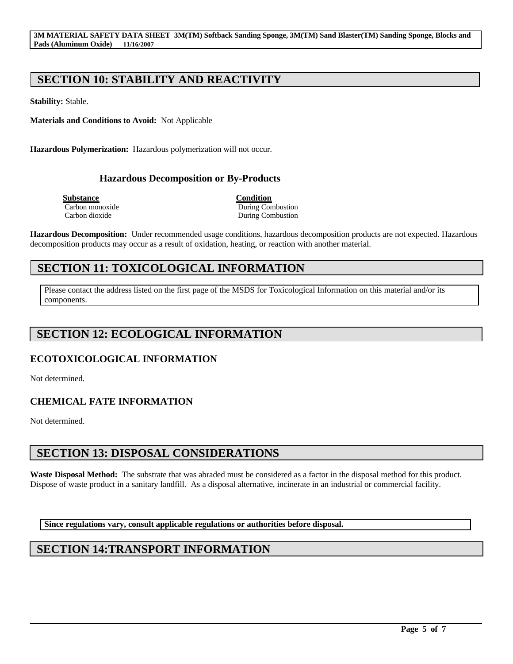# **SECTION 10: STABILITY AND REACTIVITY**

**Stability:** Stable.

**Materials and Conditions to Avoid:** Not Applicable

**Hazardous Polymerization:** Hazardous polymerization will not occur.

## **Hazardous Decomposition or By-Products**

**Substance Condition**<br> **Carbon monoxide Carbon <b>Condition**<br> **Condition** 

During Combustion Carbon dioxide During Combustion

**Hazardous Decomposition:** Under recommended usage conditions, hazardous decomposition products are not expected. Hazardous decomposition products may occur as a result of oxidation, heating, or reaction with another material.

# **SECTION 11: TOXICOLOGICAL INFORMATION**

Please contact the address listed on the first page of the MSDS for Toxicological Information on this material and/or its components.

# **SECTION 12: ECOLOGICAL INFORMATION**

## **ECOTOXICOLOGICAL INFORMATION**

Not determined.

## **CHEMICAL FATE INFORMATION**

Not determined.

# **SECTION 13: DISPOSAL CONSIDERATIONS**

**Waste Disposal Method:** The substrate that was abraded must be considered as a factor in the disposal method for this product. Dispose of waste product in a sanitary landfill. As a disposal alternative, incinerate in an industrial or commercial facility.

 $\mathcal{L}_\mathcal{L} = \mathcal{L}_\mathcal{L} = \mathcal{L}_\mathcal{L} = \mathcal{L}_\mathcal{L} = \mathcal{L}_\mathcal{L} = \mathcal{L}_\mathcal{L} = \mathcal{L}_\mathcal{L} = \mathcal{L}_\mathcal{L} = \mathcal{L}_\mathcal{L} = \mathcal{L}_\mathcal{L} = \mathcal{L}_\mathcal{L} = \mathcal{L}_\mathcal{L} = \mathcal{L}_\mathcal{L} = \mathcal{L}_\mathcal{L} = \mathcal{L}_\mathcal{L} = \mathcal{L}_\mathcal{L} = \mathcal{L}_\mathcal{L}$ 

**Since regulations vary, consult applicable regulations or authorities before disposal.**

# **SECTION 14:TRANSPORT INFORMATION**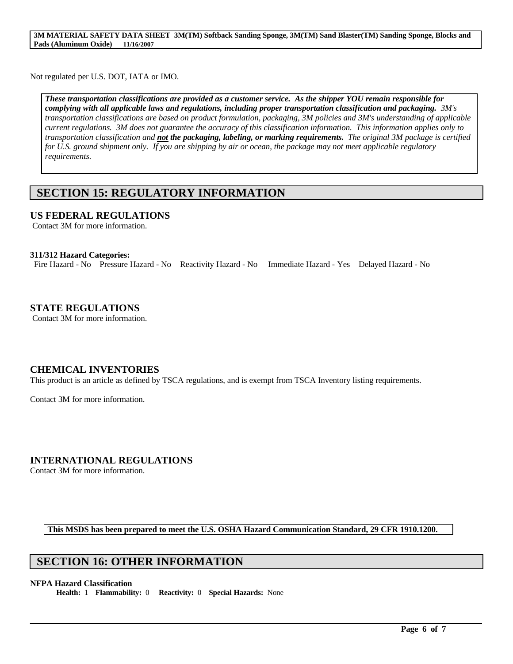Not regulated per U.S. DOT, IATA or IMO.

*These transportation classifications are provided as a customer service. As the shipper YOU remain responsible for complying with all applicable laws and regulations, including proper transportation classification and packaging. 3M's transportation classifications are based on product formulation, packaging, 3M policies and 3M's understanding of applicable current regulations. 3M does not guarantee the accuracy of this classification information. This information applies only to transportation classification and not the packaging, labeling, or marking requirements. The original 3M package is certified*  for U.S. ground shipment only. If you are shipping by air or ocean, the package may not meet applicable regulatory *requirements.* 

# **SECTION 15: REGULATORY INFORMATION**

### **US FEDERAL REGULATIONS**

Contact 3M for more information.

#### **311/312 Hazard Categories:**

Fire Hazard - No Pressure Hazard - No Reactivity Hazard - No Immediate Hazard - Yes Delayed Hazard - No

### **STATE REGULATIONS**

Contact 3M for more information.

### **CHEMICAL INVENTORIES**

This product is an article as defined by TSCA regulations, and is exempt from TSCA Inventory listing requirements.

Contact 3M for more information.

### **INTERNATIONAL REGULATIONS**

Contact 3M for more information.

**This MSDS has been prepared to meet the U.S. OSHA Hazard Communication Standard, 29 CFR 1910.1200.**

 $\mathcal{L}_\mathcal{L} = \mathcal{L}_\mathcal{L} = \mathcal{L}_\mathcal{L} = \mathcal{L}_\mathcal{L} = \mathcal{L}_\mathcal{L} = \mathcal{L}_\mathcal{L} = \mathcal{L}_\mathcal{L} = \mathcal{L}_\mathcal{L} = \mathcal{L}_\mathcal{L} = \mathcal{L}_\mathcal{L} = \mathcal{L}_\mathcal{L} = \mathcal{L}_\mathcal{L} = \mathcal{L}_\mathcal{L} = \mathcal{L}_\mathcal{L} = \mathcal{L}_\mathcal{L} = \mathcal{L}_\mathcal{L} = \mathcal{L}_\mathcal{L}$ 

## **SECTION 16: OTHER INFORMATION**

#### **NFPA Hazard Classification**

**Health:** 1 **Flammability:** 0 **Reactivity:** 0 **Special Hazards:** None